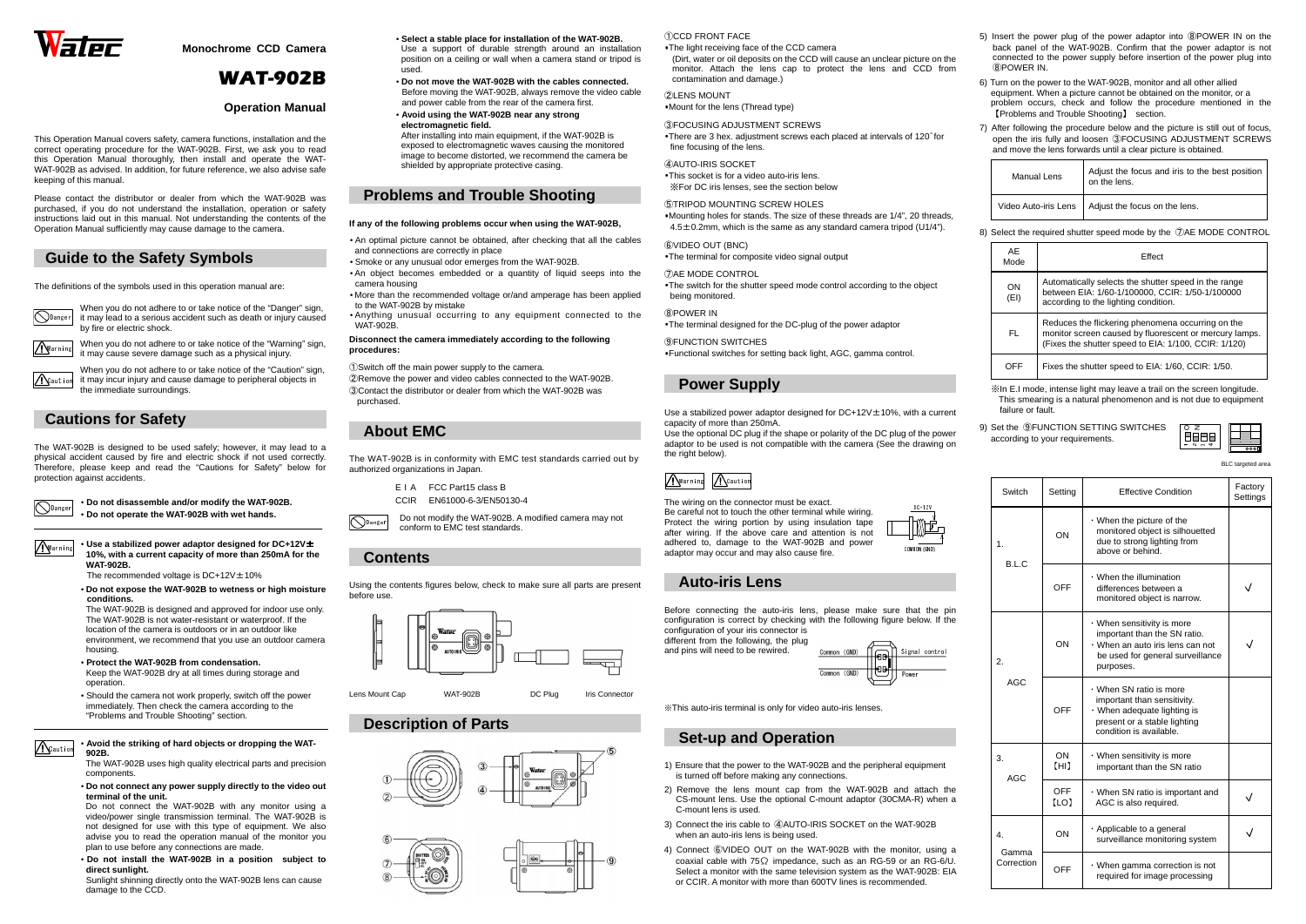

**Monochrome CCD Camera** 

# WAT-902B

## **Operation Manual**

This Operation Manual covers safety, camera functions, installation and the correct operating procedure for the WAT-902B. First, we ask you to read this Operation Manual thoroughly, then install and operate the WAT-WAT-902B as advised. In addition, for future reference, we also advise safe keeping of this manual.

Please contact the distributor or dealer from which the WAT-902B was purchased, if you do not understand the installation, operation or safety instructions laid out in this manual. Not understanding the contents of the Operation Manual sufficiently may cause damage to the camera.

> When you do not adhere to or take notice of the "Caution" sign, it may incur injury and cause damage to peripheral objects in the immediate surroundings.

# **Guide to the Safety Symbols**

The definitions of the symbols used in this operation manual are:

**O**Danger



When you do not adhere to or take notice of the "Danger" sign, it may lead to a serious accident such as death or injury caused by fire or electric shock.

Warning

**A**Caution

When you do not adhere to or take notice of the "Warning" sign, it may cause severe damage such as a physical injury.

# **Cautions for Safety**

The WAT-902B is designed to be used safely; however, it may lead to a physical accident caused by fire and electric shock if not used correctly. Therefore, please keep and read the "Cautions for Safety" below for protection against accidents.

> • **Do not disassemble and/or modify the WAT-902B.**  • **Do not operate the WAT-902B with wet hands.**

# Warning

**A**Caution

• **Use a stabilized power adaptor designed for DC+12V**<sup>±</sup> **10%, with a current capacity of more than 250mA for the WAT-902B.** 

The recommended voltage is  $DC+12V \pm 10\%$ 

 • **Do not expose the WAT-902B to wetness or high moisture conditions.** 

- An optimal picture cannot be obtained, after checking that all the cables and connections are correctly in place
- Smoke or any unusual odor emerges from the WAT-902B.
- An object becomes embedded or a quantity of liquid seeps into the camera housing
- • More than the recommended voltage or/and amperage has been applied to the WAT-902B by mistake
- Anything unusual occurring to any equipment connected to the WAT-902B

 The WAT-902B is designed and approved for indoor use only. The WAT-902B is not water-resistant or waterproof. If the location of the camera is outdoors or in an outdoor like environment, we recommend that you use an outdoor camera housing.

- **Protect the WAT-902B from condensation.**  Keep the WAT-902B dry at all times during storage and operation.
- Should the camera not work properly, switch off the power immediately. Then check the camera according to the "Problems and Trouble Shooting" section.

 $\bigcirc$ Danger Do not modify the WAT-902B. A modified camera may not conform to EMC test standards.

### • **Avoid the striking of hard objects or dropping the WAT-902B.**

 The WAT-902B uses high quality electrical parts and precision components.

### • **Do not connect any power supply directly to the video out terminal of the unit.**

 Do not connect the WAT-902B with any monitor using a video/power single transmission terminal. The WAT-902B is not designed for use with this type of equipment. We also advise you to read the operation manual of the monitor you plan to use before any connections are made.

The switch for the shutter speed mode control according to the object being monitored.

 • **Do not install the WAT-902B in a position subject to direct sunlight.** 

 Sunlight shinning directly onto the WAT-902B lens can cause damage to the CCD.

- **Select a stable place for installation of the WAT-902B.**
- Use a support of durable strength around an installation position on a ceiling or wall when a camera stand or tripod is used.
- **Do not move the WAT-902B with the cables connected.**  Before moving the WAT-902B, always remove the video cable and power cable from the rear of the camera first.
- • **Avoid using the WAT-902B near any strongelectromagnetic field.**  After installing into main equipment, if the WAT-902B is exposed to electromagnetic waves causing the monitored image to become distorted, we recommend the camera be shielded by appropriate protective casing.

# **Problems and Trouble Shooting**

### **If any of the following problems occur when using the WAT-902B,**

## **Disconnect the camera immediately according to the following procedures:**

①Switch off the main power supply to the camera.

 ②Remove the power and video cables connected to the WAT-902B. ③Contact the distributor or dealer from which the WAT-902B was purchased.

# **About EMC**

The WAT-902B is in conformity with EMC test standards carried out by authorized organizations in Japan.

| FIA   | FCC Part15 class B    |
|-------|-----------------------|
| CCIR. | EN61000-6-3/EN50130-4 |

# **Contents**

Using the contents figures below, check to make sure all parts are present before use.



Lens Mount Cap WAT-902B DC Plug Iris Connector





①CCD FRONT FACE

 ・The light receiving face of the CCD camera (Dirt, water or oil deposits on the CCD will cause an unclear picture on the monitor. Attach the lens cap to protect the lens and CCD from contamination and damage.)

②LENS MOUNT ・Mount for the lens (Thread type)

## ③FOCUSING ADJUSTMENT SCREWS

There are 3 hex. adjustment screws each placed at intervals of 120° for

fine focusing of the lens.

## ④AUTO-IRIS SOCKET

- ・This socket is for a video auto-iris lens.
- ※For DC iris lenses, see the section below

## ⑤TRIPOD MOUNTING SCREW HOLES

・Mounting holes for stands. The size of these threads are 1/4", 20 threads,

4.5±0.2mm, which is the same as any standard camera tripod (U1/4").

## ⑥VIDEO OUT (BNC)

・The terminal for composite video signal output

## ⑦AE MODE CONTROL

## ⑧POWER IN

・The terminal designed for the DC-plug of the power adaptor

⑨FUNCTION SWITCHES

・Functional switches for setting back light, AGC, gamma control.

## **Power Supply**

Use a stabilized power adaptor designed for DC+12V±10%, with a current capacity of more than 250mA.

 Use the optional DC plug if the shape or polarity of the DC plug of the power adaptor to be used is not compatible with the camera (See the drawing on the right below).

The wiring on the connector must be exact. Be careful not to touch the other terminal while wiring. Protect the wiring portion by using insulation tape after wiring. If the above care and attention is not adhered to, damage to the WAT-902B and power adaptor may occur and may also cause fire.

## **Auto-iris Lens**

Before connecting the auto-iris lens, please make sure that the pin configuration is correct by checking with the following figure below. If the configuration of your iris connector is

 different from the following, the plug and pins will need to be rewired.



※This auto-iris terminal is only for video auto-iris lenses.

## **Set-up and Operation**

- 1) Ensure that the power to the WAT-902B and the peripheral equipment is turned off before making any connections.
- 2) Remove the lens mount cap from the WAT-902B and attach the CS-mount lens. Use the optional C-mount adaptor (30CMA-R) when a C-mount lens is used.
- 3) Connect the iris cable to ④AUTO-IRIS SOCKET on the WAT-902B when an auto-iris lens is being used.
- 4) Connect ⑥VIDEO OUT on the WAT-902B with the monitor, using a coaxial cable with 75Ω impedance, such as an RG-59 or an RG-6/U. Select a monitor with the same television system as the WAT-902B: EIA or CCIR. A monitor with more than 600TV lines is recommended.

5) Insert the power plug of the power adaptor into ⑧POWER IN on the back panel of the WAT-902B. Confirm that the power adaptor is not connected to the power supply before insertion of the power plug into ⑧POWER IN.

6) Turn on the power to the WAT-902B, monitor and all other allied equipment. When a picture cannot be obtained on the monitor, or a problem occurs, check and follow the procedure mentioned in the 【Problems and Trouble Shooting】 section.

7) After following the procedure below and the picture is still out of focus, open the iris fully and loosen ③FOCUSING ADJUSTMENT SCREWS and move the lens forwards until a clear picture is obtained.

| <b>Manual Lens</b> | Adjust the focus and iris to the best position<br>on the lens. |
|--------------------|----------------------------------------------------------------|
|                    | Video Auto-iris Lens   Adjust the focus on the lens.           |

8) Select the required shutter speed mode by the ⑦AE MODE CONTROL

| AE<br>Mode        | Effect                                                                                                                                                              |  |  |
|-------------------|---------------------------------------------------------------------------------------------------------------------------------------------------------------------|--|--|
| <b>ON</b><br>(EI) | Automatically selects the shutter speed in the range<br>between EIA: 1/60-1/100000, CCIR: 1/50-1/100000<br>according to the lighting condition.                     |  |  |
| FL                | Reduces the flickering phenomena occurring on the<br>monitor screen caused by fluorescent or mercury lamps.<br>(Fixes the shutter speed to EIA: 1/100, CCIR: 1/120) |  |  |
| OFF               | Fixes the shutter speed to EIA: 1/60, CCIR: 1/50.                                                                                                                   |  |  |

※In E.I mode, intense light may leave a trail on the screen longitude. This smearing is a natural phenomenon and is not due to equipment failure or fault.

9) Set the ⑨FUNCTION SETTING SWITCHES according to your requirements.

| Switch                    | Setting            | <b>Effective Condition</b>                                                                                                                       | Factory<br>Settings |
|---------------------------|--------------------|--------------------------------------------------------------------------------------------------------------------------------------------------|---------------------|
| $\mathbf{1}$ .<br>B.L.C   | ON                 | $\cdot$ When the picture of the<br>monitored object is silhouetted<br>due to strong lighting from<br>above or behind.                            |                     |
|                           | OFF                | $\cdot$ When the illumination<br>differences between a<br>monitored object is narrow.                                                            |                     |
| 2.<br>AGC                 | ON                 | · When sensitivity is more<br>important than the SN ratio.<br>· When an auto iris lens can not<br>be used for general surveillance<br>purposes.  |                     |
|                           | OFF                | · When SN ratio is more<br>important than sensitivity.<br>· When adequate lighting is<br>present or a stable lighting<br>condition is available. |                     |
| 3.<br>AGC                 | ON<br>(HI)         | · When sensitivity is more<br>important than the SN ratio                                                                                        |                     |
|                           | <b>OFF</b><br>[LO] | . When SN ratio is important and<br>AGC is also required.                                                                                        |                     |
| 4.<br>Gamma<br>Correction | ON                 | · Applicable to a general<br>surveillance monitoring system                                                                                      |                     |
|                           | OFF                | $\cdot$ When gamma correction is not<br>required for image processing                                                                            |                     |







BLC targeted are